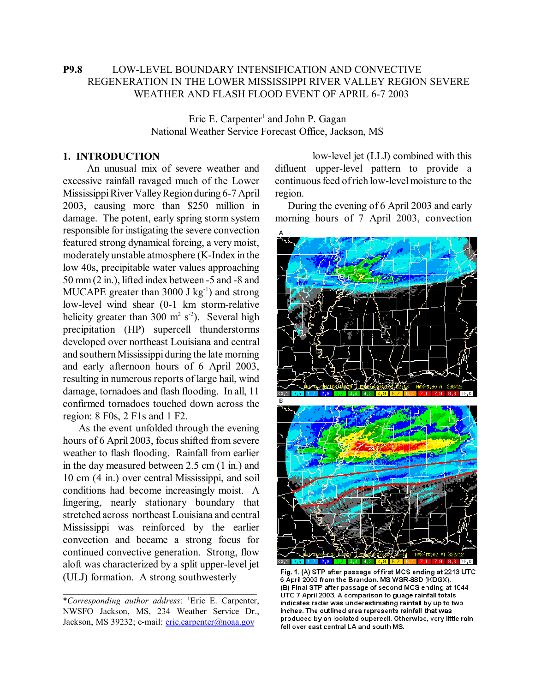# **P9.8** LOW-LEVEL BOUNDARY INTENSIFICATION AND CONVECTIVE REGENERATION IN THE LOWER MISSISSIPPI RIVER VALLEY REGION SEVERE WEATHER AND FLASH FLOOD EVENT OF APRIL 6-7 2003

Eric E. Carpenter<sup>1</sup> and John P. Gagan National Weather Service Forecast Office, Jackson, MS

#### **1. INTRODUCTION**

 An unusual mix of severe weather and excessive rainfall ravaged much of the Lower Mississippi River Valley Region during 6-7 April 2003, causing more than \$250 million in damage. The potent, early spring storm system responsible for instigating the severe convection featured strong dynamical forcing, a very moist, moderately unstable atmosphere (K-Index in the low 40s, precipitable water values approaching 50 mm (2 in.), lifted index between -5 and -8 and MUCAPE greater than  $3000$  J kg<sup>-1</sup>) and strong low-level wind shear (0-1 km storm-relative helicity greater than 300  $m^2 s^2$ ). Several high precipitation (HP) supercell thunderstorms developed over northeast Louisiana and central and southern Mississippi during the late morning and early afternoon hours of 6 April 2003, resulting in numerous reports of large hail, wind damage, tornadoes and flash flooding. In all, 11 confirmed tornadoes touched down across the region: 8 F0s, 2 F1s and 1 F2.

 As the event unfolded through the evening hours of 6 April 2003, focus shifted from severe weather to flash flooding. Rainfall from earlier in the day measured between 2.5 cm (1 in.) and 10 cm (4 in.) over central Mississippi, and soil conditions had become increasingly moist. A lingering, nearly stationary boundary that stretched across northeast Louisiana and central Mississippi was reinforced by the earlier convection and became a strong focus for continued convective generation. Strong, flow aloft was characterized by a split upper-level jet (ULJ) formation. A strong southwesterly

**\_\_\_\_\_\_\_\_\_\_\_\_\_\_\_\_\_\_\_\_\_\_\_\_\_\_\_\_\_\_\_\_\_\_\_\_\_**

 low-level jet (LLJ) combined with this difluent upper-level pattern to provide a continuous feed of rich low-level moisture to the region.

 During the evening of 6 April 2003 and early morning hours of 7 April 2003, convection



Fig. 1. (A) STP after passage of first MCS ending at 2213 UTC 6 April 2003 from the Brandon, MS WSR-88D (KDGX). (B) Final STP after passage of second MCS ending at 1044 UTC 7 April 2003. A comparison to guage rainfall totals indicates radar was underestimating rainfall by up to two inches. The outlined area represents rainfall that was produced by an isolated supercell. Otherwise, very little rain fell over east central LA and south MS.

<sup>\*</sup>*Corresponding author address*: 1 Eric E. Carpenter, NWSFO Jackson, MS, 234 Weather Service Dr., Jackson, MS 39232; e-mail: eric.carpenter@noaa.gov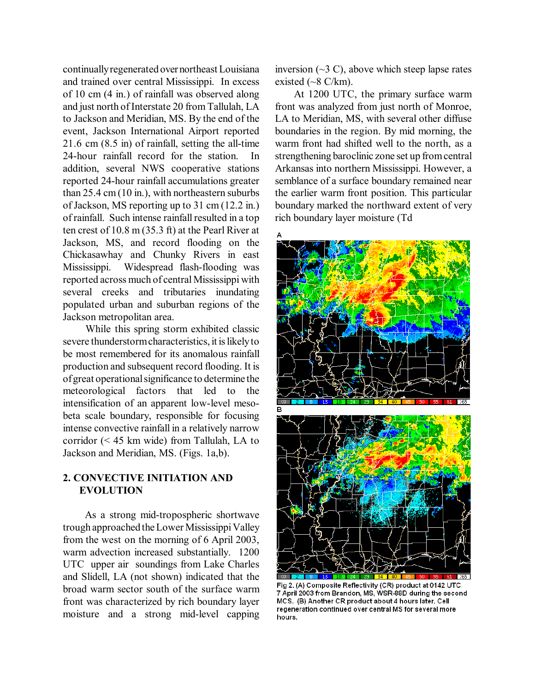continually regenerated over northeast Louisiana and trained over central Mississippi. In excess of 10 cm (4 in.) of rainfall was observed along and just north of Interstate 20 from Tallulah, LA to Jackson and Meridian, MS. By the end of the event, Jackson International Airport reported 21.6 cm (8.5 in) of rainfall, setting the all-time 24-hour rainfall record for the station. In addition, several NWS cooperative stations reported 24-hour rainfall accumulations greater than 25.4 cm (10 in.), with northeastern suburbs of Jackson, MS reporting up to 31 cm (12.2 in.) of rainfall. Such intense rainfall resulted in a top ten crest of 10.8 m (35.3 ft) at the Pearl River at Jackson, MS, and record flooding on the Chickasawhay and Chunky Rivers in east Mississippi. Widespread flash-flooding was reported across much of central Mississippi with several creeks and tributaries inundating populated urban and suburban regions of the Jackson metropolitan area.

 While this spring storm exhibited classic severe thunderstorm characteristics, it is likely to be most remembered for its anomalous rainfall production and subsequent record flooding. It is of great operational significance to determine the meteorological factors that led to the intensification of an apparent low-level mesobeta scale boundary, responsible for focusing intense convective rainfall in a relatively narrow corridor (< 45 km wide) from Tallulah, LA to Jackson and Meridian, MS. (Figs. 1a,b).

# **2. CONVECTIVE INITIATION AND EVOLUTION**

 As a strong mid-tropospheric shortwave trough approached the Lower Mississippi Valley from the west on the morning of 6 April 2003, warm advection increased substantially. 1200 UTC upper air soundings from Lake Charles and Slidell, LA (not shown) indicated that the broad warm sector south of the surface warm front was characterized by rich boundary layer moisture and a strong mid-level capping

inversion  $(\sim 3 \text{ C})$ , above which steep lapse rates existed  $({\sim}8 \text{ C/km})$ .

 At 1200 UTC, the primary surface warm front was analyzed from just north of Monroe, LA to Meridian, MS, with several other diffuse boundaries in the region. By mid morning, the warm front had shifted well to the north, as a strengthening baroclinic zone set up from central Arkansas into northern Mississippi. However, a semblance of a surface boundary remained near the earlier warm front position. This particular boundary marked the northward extent of very rich boundary layer moisture (Td



Fig 2. (A) Composite Reflectivity (CR) product at 0142 UTC 7 April 2003 from Brandon, MS, WSR-88D during the second MCS. (B) Another CR product about 4 hours later. Cell regeneration continued over central MS for several more hours.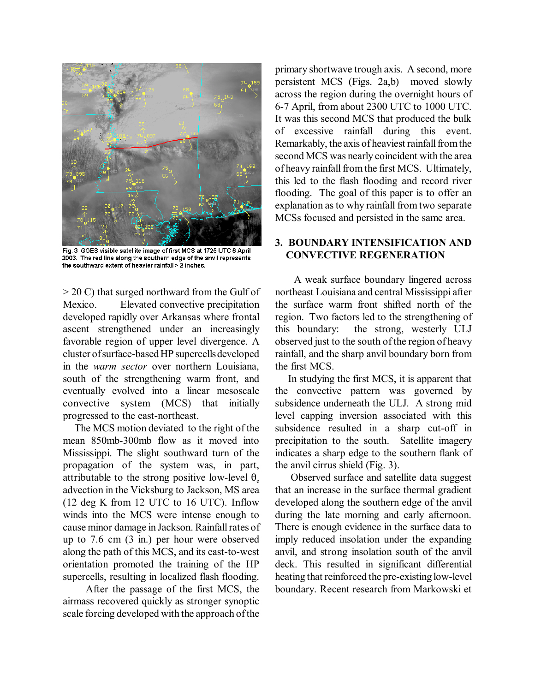

Fig. 3 GOES visible satellite image of first MCS at 1725 UTC 6 April 2003. The red line along the southern edge of the anvil represents the southward extent of heavier rainfall > 2 inches.

> 20 C) that surged northward from the Gulf of Mexico. Elevated convective precipitation developed rapidly over Arkansas where frontal ascent strengthened under an increasingly favorable region of upper level divergence. A cluster of surface-based HP supercells developed in the *warm sector* over northern Louisiana, south of the strengthening warm front, and eventually evolved into a linear mesoscale convective system (MCS) that initially progressed to the east-northeast.

 The MCS motion deviated to the right of the mean 850mb-300mb flow as it moved into Mississippi. The slight southward turn of the propagation of the system was, in part, attributable to the strong positive low-level  $\theta_e$ advection in the Vicksburg to Jackson, MS area (12 deg K from 12 UTC to 16 UTC). Inflow winds into the MCS were intense enough to cause minor damage in Jackson. Rainfall rates of up to 7.6 cm (3 in.) per hour were observed along the path of this MCS, and its east-to-west orientation promoted the training of the HP supercells, resulting in localized flash flooding.

 After the passage of the first MCS, the airmass recovered quickly as stronger synoptic scale forcing developed with the approach of the

primary shortwave trough axis. A second, more persistent MCS (Figs. 2a,b) moved slowly across the region during the overnight hours of 6-7 April, from about 2300 UTC to 1000 UTC. It was this second MCS that produced the bulk of excessive rainfall during this event. Remarkably, the axis of heaviest rainfall from the second MCS was nearly coincident with the area of heavy rainfall from the first MCS. Ultimately, this led to the flash flooding and record river flooding. The goal of this paper is to offer an explanation as to why rainfall from two separate MCSs focused and persisted in the same area.

# **3. BOUNDARY INTENSIFICATION AND CONVECTIVE REGENERATION**

 A weak surface boundary lingered across northeast Louisiana and central Mississippi after the surface warm front shifted north of the region. Two factors led to the strengthening of this boundary: the strong, westerly ULJ observed just to the south of the region of heavy rainfall, and the sharp anvil boundary born from the first MCS.

 In studying the first MCS, it is apparent that the convective pattern was governed by subsidence underneath the ULJ. A strong mid level capping inversion associated with this subsidence resulted in a sharp cut-off in precipitation to the south. Satellite imagery indicates a sharp edge to the southern flank of the anvil cirrus shield (Fig. 3).

 Observed surface and satellite data suggest that an increase in the surface thermal gradient developed along the southern edge of the anvil during the late morning and early afternoon. There is enough evidence in the surface data to imply reduced insolation under the expanding anvil, and strong insolation south of the anvil deck. This resulted in significant differential heating that reinforced the pre-existing low-level boundary. Recent research from Markowski et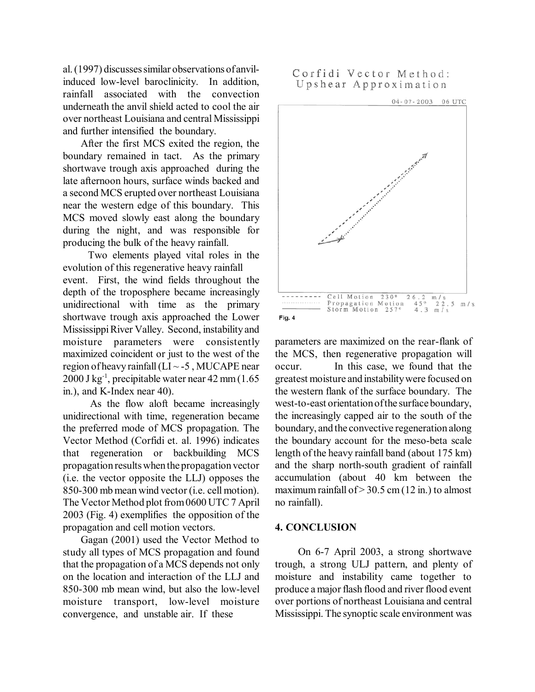al. (1997) discusses similar observations of anvilinduced low-level baroclinicity. In addition, rainfall associated with the convection underneath the anvil shield acted to cool the air over northeast Louisiana and central Mississippi and further intensified the boundary.

 After the first MCS exited the region, the boundary remained in tact. As the primary shortwave trough axis approached during the late afternoon hours, surface winds backed and a second MCS erupted over northeast Louisiana near the western edge of this boundary. This MCS moved slowly east along the boundary during the night, and was responsible for producing the bulk of the heavy rainfall.

Two elements played vital roles in the evolution of this regenerative heavy rainfall event. First, the wind fields throughout the depth of the troposphere became increasingly unidirectional with time as the primary shortwave trough axis approached the Lower Mississippi River Valley. Second, instability and moisture parameters were consistently maximized coincident or just to the west of the region of heavy rainfall ( $LI \sim -5$ , MUCAPE near  $2000$  J kg<sup>-1</sup>, precipitable water near 42 mm (1.65) in.), and K-Index near 40).

 As the flow aloft became increasingly unidirectional with time, regeneration became the preferred mode of MCS propagation. The Vector Method (Corfidi et. al. 1996) indicates that regeneration or backbuilding MCS propagation results when the propagation vector (i.e. the vector opposite the LLJ) opposes the 850-300 mb mean wind vector (i.e. cell motion). The Vector Method plot from 0600 UTC 7 April 2003 (Fig. 4) exemplifies the opposition of the propagation and cell motion vectors.

 Gagan (2001) used the Vector Method to study all types of MCS propagation and found that the propagation of a MCS depends not only on the location and interaction of the LLJ and 850-300 mb mean wind, but also the low-level moisture transport, low-level moisture convergence, and unstable air. If these

# Corfidi Vector Method: Upshear Approximation



parameters are maximized on the rear-flank of the MCS, then regenerative propagation will occur. In this case, we found that the greatest moisture and instability were focused on the western flank of the surface boundary. The west-to-east orientation of the surface boundary, the increasingly capped air to the south of the boundary, and the convective regeneration along the boundary account for the meso-beta scale length of the heavy rainfall band (about 175 km) and the sharp north-south gradient of rainfall accumulation (about 40 km between the maximum rainfall of  $>$  30.5 cm (12 in.) to almost no rainfall).

#### **4. CONCLUSION**

 On 6-7 April 2003, a strong shortwave trough, a strong ULJ pattern, and plenty of moisture and instability came together to produce a major flash flood and river flood event over portions of northeast Louisiana and central Mississippi. The synoptic scale environment was